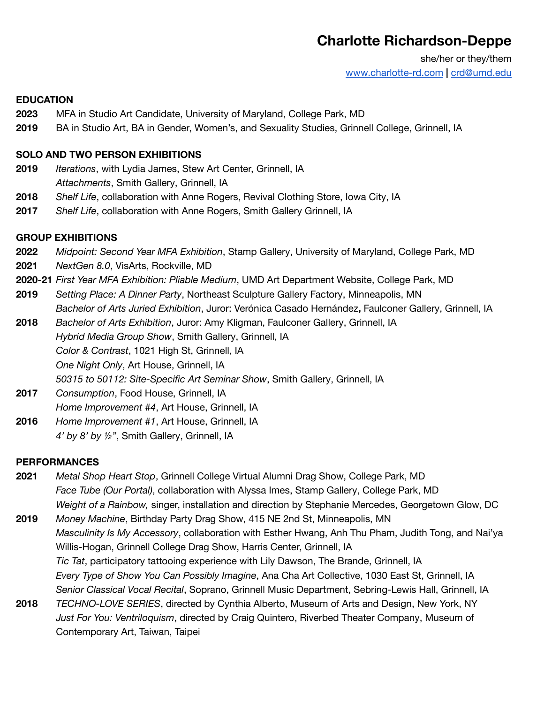# **Charlotte Richardson-Deppe**

she/her or they/them [www.charlotte-rd.com](http://www.charlotte-rd.com) **|** [crd@umd.edu](mailto:crd@umd.edu)

#### **EDUCATION**

- **2023** MFA in Studio Art Candidate, University of Maryland, College Park, MD
- **2019** BA in Studio Art, BA in Gender, Women's, and Sexuality Studies, Grinnell College, Grinnell, IA

#### **SOLO AND TWO PERSON EXHIBITIONS**

- **2019** *Iterations*, with Lydia James, Stew Art Center, Grinnell, IA *Attachments*, Smith Gallery, Grinnell, IA
- **2018** *Shelf Life*, collaboration with Anne Rogers, Revival Clothing Store, Iowa City, IA
- **2017** *Shelf Life*, collaboration with Anne Rogers, Smith Gallery Grinnell, IA

#### **GROUP EXHIBITIONS**

- **2022** *Midpoint: Second Year MFA Exhibition*, Stamp Gallery, University of Maryland, College Park, MD
- **2021** *NextGen 8.0*, VisArts, Rockville, MD
- **2020-21** *First Year MFA Exhibition: Pliable Medium*, UMD Art Department Website, College Park, MD
- **2019** *Setting Place: A Dinner Party*, Northeast Sculpture Gallery Factory, Minneapolis, MN *Bachelor of Arts Juried Exhibition*, Juror: Verónica Casado Hernández**,** Faulconer Gallery, Grinnell, IA
- **2018** *Bachelor of Arts Exhibition*, Juror: Amy Kligman, Faulconer Gallery, Grinnell, IA *Hybrid Media Group Show*, Smith Gallery, Grinnell, IA *Color & Contrast*, 1021 High St, Grinnell, IA *One Night Only*, Art House, Grinnell, IA
	- *50315 to 50112: Site-Specific Art Seminar Show*, Smith Gallery, Grinnell, IA
- **2017** *Consumption*, Food House, Grinnell, IA *Home Improvement #4*, Art House, Grinnell, IA **2016** *Home Improvement #1*, Art House, Grinnell, IA *4' by 8' by ½"*, Smith Gallery, Grinnell, IA

## **PERFORMANCES**

- **2021** *Metal Shop Heart Stop*, Grinnell College Virtual Alumni Drag Show, College Park, MD *Face Tube (Our Portal)*, collaboration with Alyssa Imes, Stamp Gallery, College Park, MD *Weight of a Rainbow,* singer, installation and direction by Stephanie Mercedes, Georgetown Glow, DC
- **2019** *Money Machine*, Birthday Party Drag Show, 415 NE 2nd St, Minneapolis, MN *Masculinity Is My Accessory*, collaboration with Esther Hwang, Anh Thu Pham, Judith Tong, and Nai'ya Willis-Hogan, Grinnell College Drag Show, Harris Center, Grinnell, IA *Tic Tat*, participatory tattooing experience with Lily Dawson, The Brande, Grinnell, IA *Every Type of Show You Can Possibly Imagine*, Ana Cha Art Collective, 1030 East St, Grinnell, IA *Senior Classical Vocal Recital*, Soprano, Grinnell Music Department, Sebring-Lewis Hall, Grinnell, IA
- **2018** *TECHNO-LOVE SERIES*, directed by Cynthia Alberto, Museum of Arts and Design, New York, NY *Just For You: Ventriloquism*, directed by Craig Quintero, Riverbed Theater Company, Museum of Contemporary Art, Taiwan, Taipei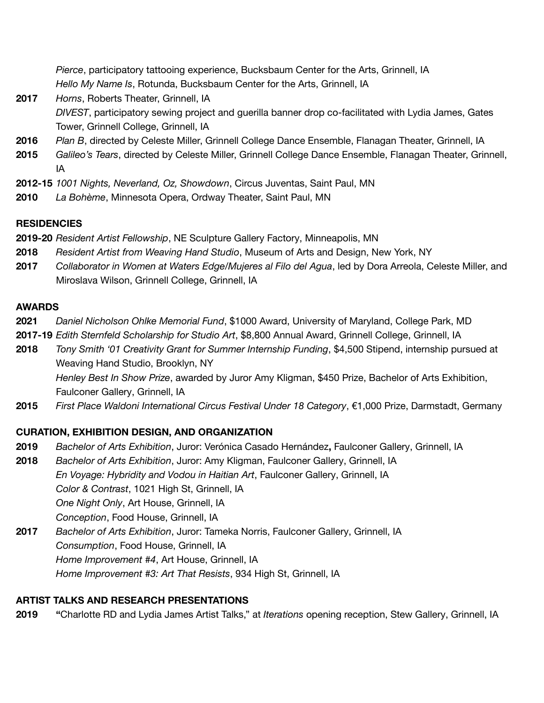*Pierce*, participatory tattooing experience, Bucksbaum Center for the Arts, Grinnell, IA *Hello My Name Is*, Rotunda, Bucksbaum Center for the Arts, Grinnell, IA

- **2017** *Horns*, Roberts Theater, Grinnell, IA *DIVEST*, participatory sewing project and guerilla banner drop co-facilitated with Lydia James, Gates Tower, Grinnell College, Grinnell, IA
- **2016** *Plan B*, directed by Celeste Miller, Grinnell College Dance Ensemble, Flanagan Theater, Grinnell, IA
- **2015** *Galileo's Tears*, directed by Celeste Miller, Grinnell College Dance Ensemble, Flanagan Theater, Grinnell, IA
- **2012-15** *1001 Nights, Neverland, Oz, Showdown*, Circus Juventas, Saint Paul, MN
- **2010** *La Bohème*, Minnesota Opera, Ordway Theater, Saint Paul, MN

# **RESIDENCIES**

**2019-20** *Resident Artist Fellowship*, NE Sculpture Gallery Factory, Minneapolis, MN

- **2018** *Resident Artist from Weaving Hand Studio*, Museum of Arts and Design, New York, NY
- **2017** *Collaborator in Women at Waters Edge/Mujeres al Filo del Agua*, led by Dora Arreola, Celeste Miller, and Miroslava Wilson, Grinnell College, Grinnell, IA

# **AWARDS**

- **2021** *Daniel Nicholson Ohlke Memorial Fund*, \$1000 Award, University of Maryland, College Park, MD
- **2017-19** *Edith Sternfeld Scholarship for Studio Art*, \$8,800 Annual Award, Grinnell College, Grinnell, IA
- **2018** *Tony Smith '01 Creativity Grant for Summer Internship Funding*, \$4,500 Stipend, internship pursued at Weaving Hand Studio, Brooklyn, NY *Henley Best In Show Prize*, awarded by Juror Amy Kligman, \$450 Prize, Bachelor of Arts Exhibition, Faulconer Gallery, Grinnell, IA
- **2015** *First Place Waldoni International Circus Festival Under 18 Category*, €1,000 Prize, Darmstadt, Germany

# **CURATION, EXHIBITION DESIGN, AND ORGANIZATION**

- **2019** *Bachelor of Arts Exhibition*, Juror: Verónica Casado Hernández**,** Faulconer Gallery, Grinnell, IA
- **2018** *Bachelor of Arts Exhibition*, Juror: Amy Kligman, Faulconer Gallery, Grinnell, IA *En Voyage: Hybridity and Vodou in Haitian Art*, Faulconer Gallery, Grinnell, IA *Color & Contrast*, 1021 High St, Grinnell, IA *One Night Only*, Art House, Grinnell, IA *Conception*, Food House, Grinnell, IA
- **2017** *Bachelor of Arts Exhibition*, Juror: Tameka Norris, Faulconer Gallery, Grinnell, IA *Consumption*, Food House, Grinnell, IA *Home Improvement #4*, Art House, Grinnell, IA *Home Improvement #3: Art That Resists*, 934 High St, Grinnell, IA

## **ARTIST TALKS AND RESEARCH PRESENTATIONS**

**2019 "**Charlotte RD and Lydia James Artist Talks," at *Iterations* opening reception, Stew Gallery, Grinnell, IA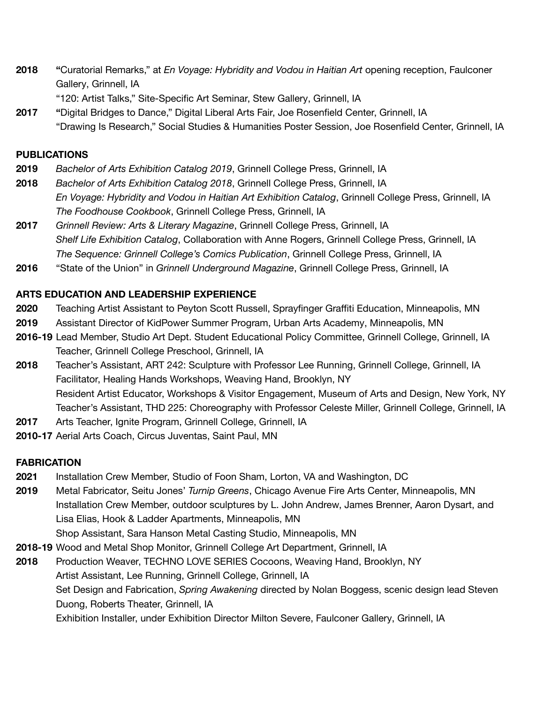- **2018 "**Curatorial Remarks," at *En Voyage: Hybridity and Vodou in Haitian Art* opening reception, Faulconer Gallery, Grinnell, IA
	- "120: Artist Talks," Site-Specific Art Seminar, Stew Gallery, Grinnell, IA
- **2017 "**Digital Bridges to Dance," Digital Liberal Arts Fair, Joe Rosenfield Center, Grinnell, IA "Drawing Is Research," Social Studies & Humanities Poster Session, Joe Rosenfield Center, Grinnell, IA

## **PUBLICATIONS**

- **2019** *Bachelor of Arts Exhibition Catalog 2019*, Grinnell College Press, Grinnell, IA
- **2018** *Bachelor of Arts Exhibition Catalog 2018*, Grinnell College Press, Grinnell, IA *En Voyage: Hybridity and Vodou in Haitian Art Exhibition Catalog*, Grinnell College Press, Grinnell, IA *The Foodhouse Cookbook*, Grinnell College Press, Grinnell, IA
- **2017** *Grinnell Review: Arts & Literary Magazine*, Grinnell College Press, Grinnell, IA *Shelf Life Exhibition Catalog*, Collaboration with Anne Rogers, Grinnell College Press, Grinnell, IA *The Sequence: Grinnell College's Comics Publication*, Grinnell College Press, Grinnell, IA
- **2016** "State of the Union" in *Grinnell Underground Magazine*, Grinnell College Press, Grinnell, IA

## **ARTS EDUCATION AND LEADERSHIP EXPERIENCE**

- **2020** Teaching Artist Assistant to Peyton Scott Russell, Sprayfinger Graffiti Education, Minneapolis, MN
- **2019** Assistant Director of KidPower Summer Program, Urban Arts Academy, Minneapolis, MN
- **2016-19** Lead Member, Studio Art Dept. Student Educational Policy Committee, Grinnell College, Grinnell, IA Teacher, Grinnell College Preschool, Grinnell, IA
- **2018** Teacher's Assistant, ART 242: Sculpture with Professor Lee Running, Grinnell College, Grinnell, IA Facilitator, Healing Hands Workshops, Weaving Hand, Brooklyn, NY Resident Artist Educator, Workshops & Visitor Engagement, Museum of Arts and Design, New York, NY Teacher's Assistant, THD 225: Choreography with Professor Celeste Miller, Grinnell College, Grinnell, IA
- **2017** Arts Teacher, Ignite Program, Grinnell College, Grinnell, IA
- **2010-17** Aerial Arts Coach, Circus Juventas, Saint Paul, MN

# **FABRICATION**

- **2021** Installation Crew Member, Studio of Foon Sham, Lorton, VA and Washington, DC
- **2019** Metal Fabricator, Seitu Jones' *Turnip Greens*, Chicago Avenue Fire Arts Center, Minneapolis, MN Installation Crew Member, outdoor sculptures by L. John Andrew, James Brenner, Aaron Dysart, and Lisa Elias, Hook & Ladder Apartments, Minneapolis, MN Shop Assistant, Sara Hanson Metal Casting Studio, Minneapolis, MN
- **2018-19** Wood and Metal Shop Monitor, Grinnell College Art Department, Grinnell, IA
- **2018** Production Weaver, TECHNO LOVE SERIES Cocoons, Weaving Hand, Brooklyn, NY Artist Assistant, Lee Running, Grinnell College, Grinnell, IA Set Design and Fabrication, *Spring Awakening* directed by Nolan Boggess, scenic design lead Steven Duong, Roberts Theater, Grinnell, IA Exhibition Installer, under Exhibition Director Milton Severe, Faulconer Gallery, Grinnell, IA